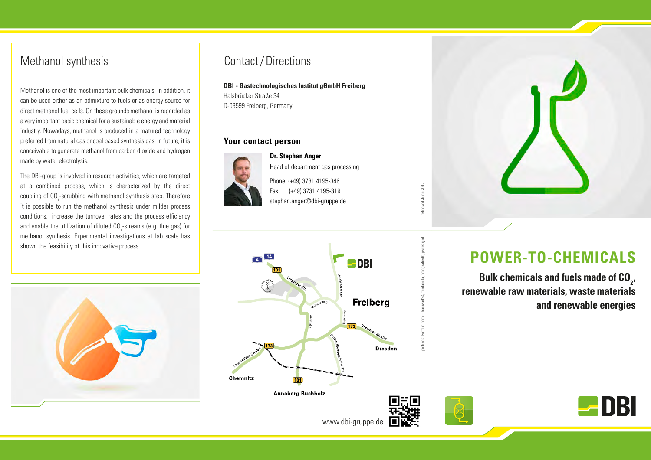# Methanol synthesis

Methanol is one of the most important bulk chemicals. In addition, it can be used either as an admixture to fuels or as energy source for direct methanol fuel cells. On these grounds methanol is regarded as a very important basic chemical for a sustainable energy and material industry. Nowadays, methanol is produced in a matured technology preferred from natural gas or coal based synthesis gas. In future, it is conceivable to generate methanol from carbon dioxide and hydrogen made by water electrolysis.

The DBI-group is involved in research activities, which are targeted at a combined process, which is characterized by the direct coupling of CO<sub>2</sub>-scrubbing with methanol synthesis step. Therefore it is possible to run the methanol synthesis under milder process conditions, increase the turnover rates and the process efficiency and enable the utilization of diluted CO<sub>2</sub>-streams (e.g. flue gas) for methanol synthesis. Experimental investigations at lab scale has shown the feasibility of this innovative process.

## Contact/Directions

## **DBI - Gastechnologisches Institut gGmbH Freiberg**

Halsbrücker Straße 34 D-09599 Freiberg, Germany

## **Your contact person**



**Dr. Stephan Anger** Head of department gas processing Phone: (+49) 3731 4195-346 Fax: (+49) 3731 4195-319 stephan.anger@dbi-gruppe.de

etrieved June 2017





# **POWER-TO-CHEMICALS**

Bulk chemicals and fuels made of CO<sub>2</sub>, **renewable raw materials, waste materials and renewable energies**





www.dbi-gruppe.de